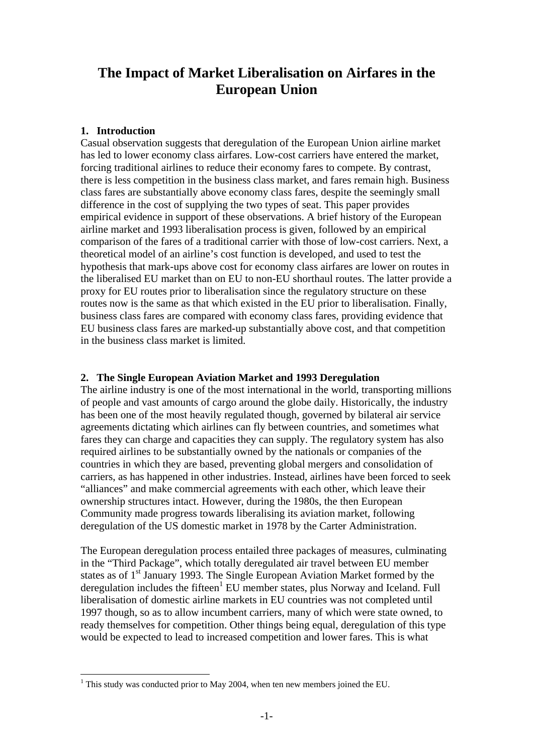## **The Impact of Market Liberalisation on Airfares in the European Union**

## **1. Introduction**

 $\overline{a}$ 

Casual observation suggests that deregulation of the European Union airline market has led to lower economy class airfares. Low-cost carriers have entered the market, forcing traditional airlines to reduce their economy fares to compete. By contrast, there is less competition in the business class market, and fares remain high. Business class fares are substantially above economy class fares, despite the seemingly small difference in the cost of supplying the two types of seat. This paper provides empirical evidence in support of these observations. A brief history of the European airline market and 1993 liberalisation process is given, followed by an empirical comparison of the fares of a traditional carrier with those of low-cost carriers. Next, a theoretical model of an airline's cost function is developed, and used to test the hypothesis that mark-ups above cost for economy class airfares are lower on routes in the liberalised EU market than on EU to non-EU shorthaul routes. The latter provide a proxy for EU routes prior to liberalisation since the regulatory structure on these routes now is the same as that which existed in the EU prior to liberalisation. Finally, business class fares are compared with economy class fares, providing evidence that EU business class fares are marked-up substantially above cost, and that competition in the business class market is limited.

## **2. The Single European Aviation Market and 1993 Deregulation**

The airline industry is one of the most international in the world, transporting millions of people and vast amounts of cargo around the globe daily. Historically, the industry has been one of the most heavily regulated though, governed by bilateral air service agreements dictating which airlines can fly between countries, and sometimes what fares they can charge and capacities they can supply. The regulatory system has also required airlines to be substantially owned by the nationals or companies of the countries in which they are based, preventing global mergers and consolidation of carriers, as has happened in other industries. Instead, airlines have been forced to seek "alliances" and make commercial agreements with each other, which leave their ownership structures intact. However, during the 1980s, the then European Community made progress towards liberalising its aviation market, following deregulation of the US domestic market in 1978 by the Carter Administration.

The European deregulation process entailed three packages of measures, culminating in the "Third Package", which totally deregulated air travel between EU member states as of 1<sup>st</sup> January 1993. The Single European Aviation Market formed by the deregulationincludes the fifteen<sup>1</sup> EU member states, plus Norway and Iceland. Full liberalisation of domestic airline markets in EU countries was not completed until 1997 though, so as to allow incumbent carriers, many of which were state owned, to ready themselves for competition. Other things being equal, deregulation of this type would be expected to lead to increased competition and lower fares. This is what

<span id="page-0-0"></span><sup>&</sup>lt;sup>1</sup> This study was conducted prior to May 2004, when ten new members joined the EU.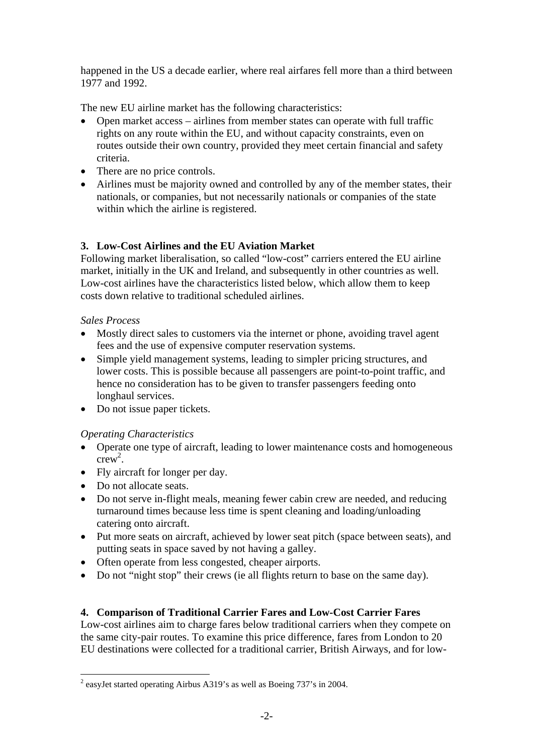happened in the US a decade earlier, where real airfares fell more than a third between 1977 and 1992.

The new EU airline market has the following characteristics:

- Open market access airlines from member states can operate with full traffic rights on any route within the EU, and without capacity constraints, even on routes outside their own country, provided they meet certain financial and safety criteria.
- There are no price controls.
- Airlines must be majority owned and controlled by any of the member states, their nationals, or companies, but not necessarily nationals or companies of the state within which the airline is registered.

## **3. Low-Cost Airlines and the EU Aviation Market**

Following market liberalisation, so called "low-cost" carriers entered the EU airline market, initially in the UK and Ireland, and subsequently in other countries as well. Low-cost airlines have the characteristics listed below, which allow them to keep costs down relative to traditional scheduled airlines.

## *Sales Process*

- Mostly direct sales to customers via the internet or phone, avoiding travel agent fees and the use of expensive computer reservation systems.
- Simple yield management systems, leading to simpler pricing structures, and lower costs. This is possible because all passengers are point-to-point traffic, and hence no consideration has to be given to transfer passengers feeding onto longhaul services.
- Do not issue paper tickets.

## *Operating Characteristics*

- Operate one type of aircraft, leading to lower maintenance costs and homogeneous  $crew^2$ .
- Fly aircraft for longer per day.
- Do not allocate seats.

 $\overline{a}$ 

- Do not serve in-flight meals, meaning fewer cabin crew are needed, and reducing turnaround times because less time is spent cleaning and loading/unloading catering onto aircraft.
- Put more seats on aircraft, achieved by lower seat pitch (space between seats), and putting seats in space saved by not having a galley.
- Often operate from less congested, cheaper airports.
- Do not "night stop" their crews (ie all flights return to base on the same day).

## **4. Comparison of Traditional Carrier Fares and Low-Cost Carrier Fares**

Low-cost airlines aim to charge fares below traditional carriers when they compete on the same city-pair routes. To examine this price difference, fares from London to 20 EU destinations were collected for a traditional carrier, British Airways, and for low-

<span id="page-1-0"></span><sup>&</sup>lt;sup>2</sup> easyJet started operating Airbus A319's as well as Boeing 737's in 2004.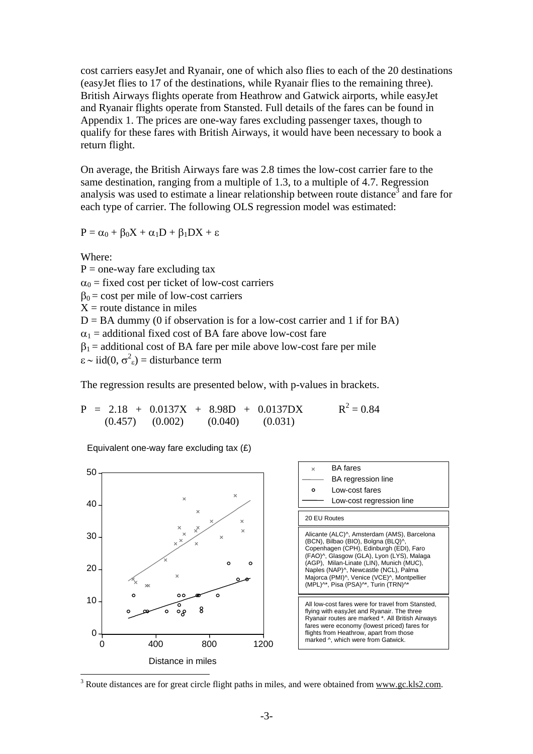cost carriers easyJet and Ryanair, one of which also flies to each of the 20 destinations (easyJet flies to 17 of the destinations, while Ryanair flies to the remaining three). British Airways flights operate from Heathrow and Gatwick airports, while easyJet and Ryanair flights operate from Stansted. Full details of the fares can be found in Appendix 1. The prices are one-way fares excluding passenger taxes, though to qualify for these fares with British Airways, it would have been necessary to book a return flight.

On average, the British Airways fare was 2.8 times the low-cost carrier fare to the same destination, ranging from a multiple of 1.3, to a multiple of 4.7. Regression analysis was used to estimate a linear relationship between route distance<sup>[3](#page-2-0)</sup> and fare for each type of carrier. The following OLS regression model was estimated:

$$
P=\alpha_0+\beta_0X+\alpha_1D+\beta_1DX+\epsilon
$$

Where:

 $P =$  one-way fare excluding tax  $\alpha_0$  = fixed cost per ticket of low-cost carriers  $\beta_0$  = cost per mile of low-cost carriers  $X =$ route distance in miles  $D = BA$  dummy (0 if observation is for a low-cost carrier and 1 if for BA)  $\alpha_1$  = additional fixed cost of BA fare above low-cost fare  $\beta_1$  = additional cost of BA fare per mile above low-cost fare per mile  $\varepsilon \sim \text{iid}(0, \sigma^2 \varepsilon) = \text{disturbance term}$ 

The regression results are presented below, with p-values in brackets.

$$
P = 2.18 + 0.0137X + 8.98D + 0.0137DX
$$
  
(0.457) (0.002) (0.040) (0.031)

Equivalent one-way fare excluding tax (£)



<span id="page-2-0"></span> $3$  Route distances are for great circle flight paths in miles, and were obtained from www.gc.kls2.com.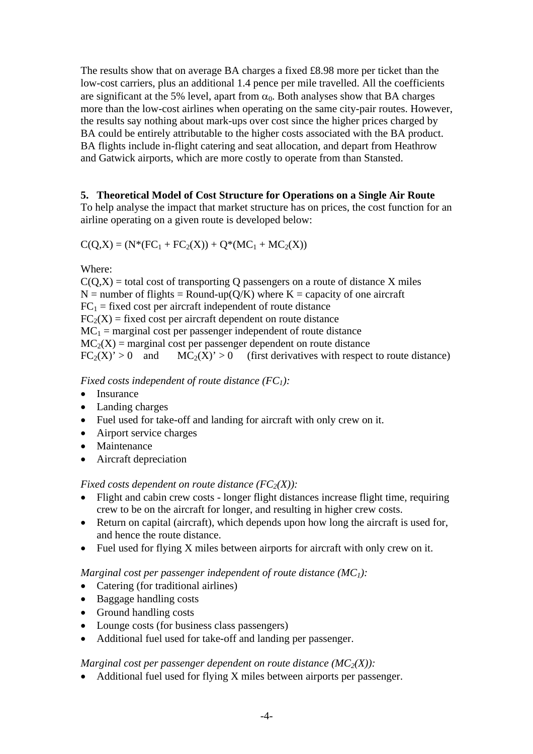The results show that on average BA charges a fixed £8.98 more per ticket than the low-cost carriers, plus an additional 1.4 pence per mile travelled. All the coefficients are significant at the 5% level, apart from  $\alpha_0$ . Both analyses show that BA charges more than the low-cost airlines when operating on the same city-pair routes. However, the results say nothing about mark-ups over cost since the higher prices charged by BA could be entirely attributable to the higher costs associated with the BA product. BA flights include in-flight catering and seat allocation, and depart from Heathrow and Gatwick airports, which are more costly to operate from than Stansted.

## **5. Theoretical Model of Cost Structure for Operations on a Single Air Route**

To help analyse the impact that market structure has on prices, the cost function for an airline operating on a given route is developed below:

$$
C(Q,X) = (N^*(FC_1 + FC_2(X)) + Q^*(MC_1 + MC_2(X))
$$

Where:

 $C(Q,X)$  = total cost of transporting Q passengers on a route of distance X miles  $N =$  number of flights = Round-up( $Q/K$ ) where  $K =$  capacity of one aircraft  $FC<sub>1</sub>$  = fixed cost per aircraft independent of route distance  $FC<sub>2</sub>(X) = fixed cost per aircraft dependent on route distance$  $MC_1$  = marginal cost per passenger independent of route distance  $MC_2(X)$  = marginal cost per passenger dependent on route distance  $FC_2(X) > 0$  and  $MC_2(X) > 0$  (first derivatives with respect to route distance)

*Fixed costs independent of route distance (FC<sub>1</sub>):* 

- Insurance
- Landing charges
- Fuel used for take-off and landing for aircraft with only crew on it.
- Airport service charges
- Maintenance
- Aircraft depreciation

*Fixed costs dependent on route distance*  $(FC_2(X))$ *:* 

- Flight and cabin crew costs longer flight distances increase flight time, requiring crew to be on the aircraft for longer, and resulting in higher crew costs.
- Return on capital (aircraft), which depends upon how long the aircraft is used for, and hence the route distance.
- Fuel used for flying X miles between airports for aircraft with only crew on it.

## *Marginal cost per passenger independent of route distance (MC<sub>1</sub>):*

- Catering (for traditional airlines)
- Baggage handling costs
- Ground handling costs
- Lounge costs (for business class passengers)
- Additional fuel used for take-off and landing per passenger.

### *Marginal cost per passenger dependent on route distance*  $(MC_2(X))$ *:*

• Additional fuel used for flying X miles between airports per passenger.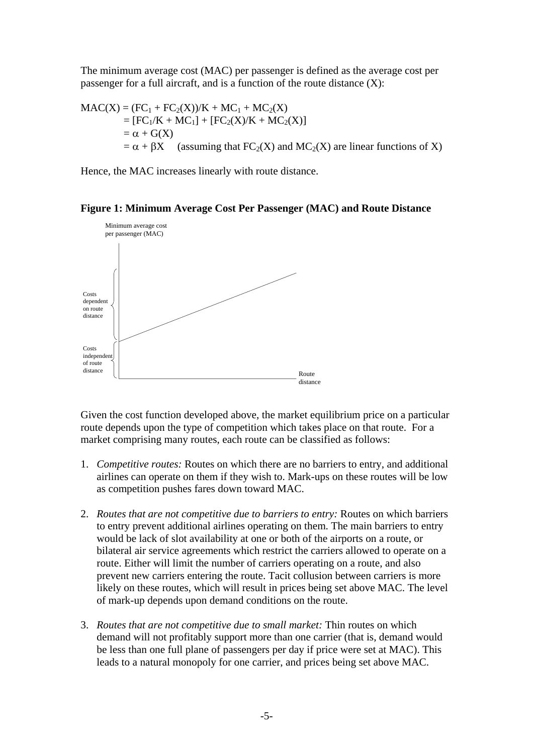The minimum average cost (MAC) per passenger is defined as the average cost per passenger for a full aircraft, and is a function of the route distance (X):

$$
MAC(X) = (FC1 + FC2(X))/K + MC1 + MC2(X)
$$
  
= [FC<sub>1</sub>/K + MC<sub>1</sub>] + [FC<sub>2</sub>(X)/K + MC<sub>2</sub>(X)]  
=  $\alpha$  + G(X)  
=  $\alpha$  +  $\beta$ X (assuming that FC<sub>2</sub>(X) and MC<sub>2</sub>(X) are linear functions of X)

Hence, the MAC increases linearly with route distance.

#### **Figure 1: Minimum Average Cost Per Passenger (MAC) and Route Distance**



Given the cost function developed above, the market equilibrium price on a particular route depends upon the type of competition which takes place on that route. For a market comprising many routes, each route can be classified as follows:

- 1. *Competitive routes:* Routes on which there are no barriers to entry, and additional airlines can operate on them if they wish to. Mark-ups on these routes will be low as competition pushes fares down toward MAC.
- 2. *Routes that are not competitive due to barriers to entry:* Routes on which barriers to entry prevent additional airlines operating on them. The main barriers to entry would be lack of slot availability at one or both of the airports on a route, or bilateral air service agreements which restrict the carriers allowed to operate on a route. Either will limit the number of carriers operating on a route, and also prevent new carriers entering the route. Tacit collusion between carriers is more likely on these routes, which will result in prices being set above MAC. The level of mark-up depends upon demand conditions on the route.
- 3. *Routes that are not competitive due to small market:* Thin routes on which demand will not profitably support more than one carrier (that is, demand would be less than one full plane of passengers per day if price were set at MAC). This leads to a natural monopoly for one carrier, and prices being set above MAC.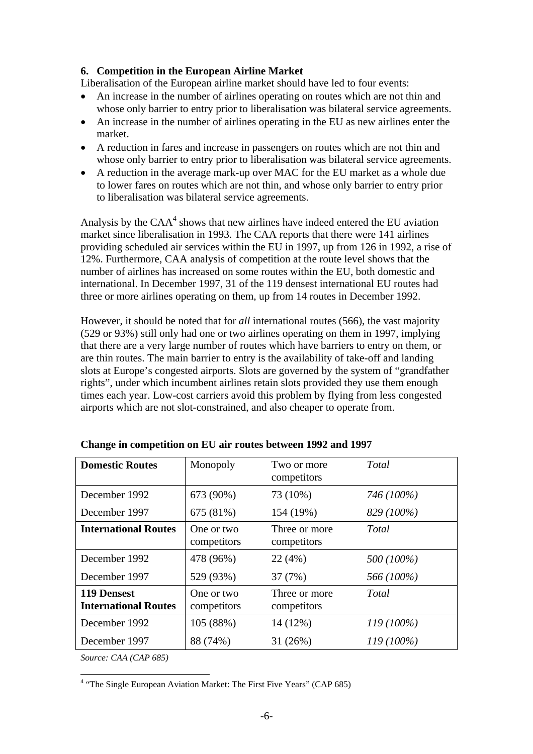## **6. Competition in the European Airline Market**

Liberalisation of the European airline market should have led to four events:

- An increase in the number of airlines operating on routes which are not thin and whose only barrier to entry prior to liberalisation was bilateral service agreements.
- An increase in the number of airlines operating in the EU as new airlines enter the market.
- A reduction in fares and increase in passengers on routes which are not thin and whose only barrier to entry prior to liberalisation was bilateral service agreements.
- A reduction in the average mark-up over MAC for the EU market as a whole due to lower fares on routes which are not thin, and whose only barrier to entry prior to liberalisation was bilateral service agreements.

Analysis by the  $CAA<sup>4</sup>$  $CAA<sup>4</sup>$  $CAA<sup>4</sup>$  shows that new airlines have indeed entered the EU aviation market since liberalisation in 1993. The CAA reports that there were 141 airlines providing scheduled air services within the EU in 1997, up from 126 in 1992, a rise of 12%. Furthermore, CAA analysis of competition at the route level shows that the number of airlines has increased on some routes within the EU, both domestic and international. In December 1997, 31 of the 119 densest international EU routes had three or more airlines operating on them, up from 14 routes in December 1992.

However, it should be noted that for *all* international routes (566), the vast majority (529 or 93%) still only had one or two airlines operating on them in 1997, implying that there are a very large number of routes which have barriers to entry on them, or are thin routes. The main barrier to entry is the availability of take-off and landing slots at Europe's congested airports. Slots are governed by the system of "grandfather rights", under which incumbent airlines retain slots provided they use them enough times each year. Low-cost carriers avoid this problem by flying from less congested airports which are not slot-constrained, and also cheaper to operate from.

| <b>Domestic Routes</b>                            | Monopoly                  | Total<br>Two or more<br>competitors |              |
|---------------------------------------------------|---------------------------|-------------------------------------|--------------|
| December 1992                                     | 673 (90%)                 | 73 (10%)<br>746 (100%)              |              |
| December 1997                                     | 675 (81%)                 | 154 (19%)                           | 829 (100%)   |
| <b>International Routes</b>                       | One or two<br>competitors | Three or more<br>competitors        | Total        |
| December 1992                                     | 478 (96%)                 | 22(4%)<br>500 (100%)                |              |
| December 1997                                     | 529 (93%)                 | 566 (100%)<br>37 (7%)               |              |
| <b>119 Densest</b><br><b>International Routes</b> | One or two<br>competitors | Three or more<br>competitors        | Total        |
| December 1992                                     | 105 (88%)                 | 14 (12%)                            | $119(100\%)$ |
| December 1997                                     | 88 (74%)                  | $119(100\%)$<br>31(26%)             |              |

**Change in competition on EU air routes between 1992 and 1997** 

*Source: CAA (CAP 685)* 

 $\overline{a}$ 

<span id="page-5-0"></span><sup>&</sup>lt;sup>4</sup> "The Single European Aviation Market: The First Five Years" (CAP 685)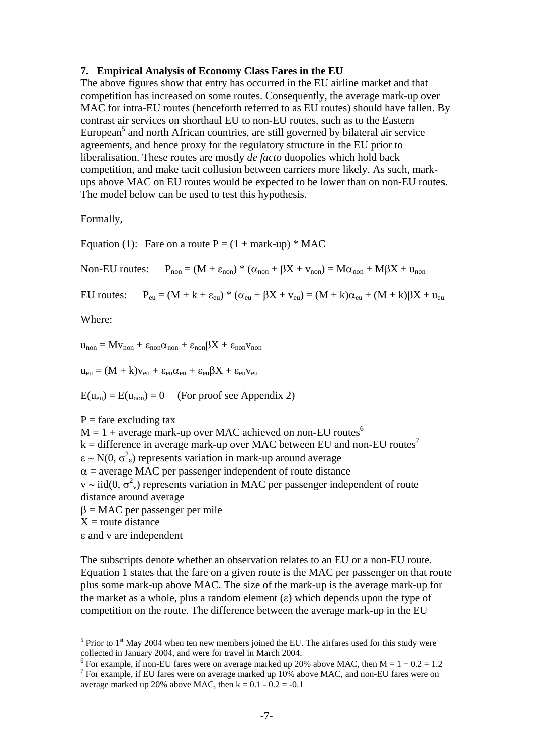#### **7. Empirical Analysis of Economy Class Fares in the EU**

The above figures show that entry has occurred in the EU airline market and that competition has increased on some routes. Consequently, the average mark-up over MAC for intra-EU routes (henceforth referred to as EU routes) should have fallen. By contrast air services on shorthaul EU to non-EU routes, such as to the Eastern European<sup>5</sup> and north African countries, are still governed by bilateral air service agreements, and hence proxy for the regulatory structure in the EU prior to liberalisation. These routes are mostly *de facto* duopolies which hold back competition, and make tacit collusion between carriers more likely. As such, markups above MAC on EU routes would be expected to be lower than on non-EU routes. The model below can be used to test this hypothesis.

Formally,

Equation (1): Fare on a route  $P = (1 + \text{mark-up}) * \text{MAC}$ 

Non-EU routes:  $P_{\text{non}} = (M + \varepsilon_{\text{non}}) * (\alpha_{\text{non}} + \beta X + v_{\text{non}}) = M\alpha_{\text{non}} + M\beta X + u_{\text{non}}$ 

EU routes:  $P_{eu} = (M + k + \varepsilon_{eu})^* (\alpha_{eu} + \beta X + v_{eu}) = (M + k)\alpha_{eu} + (M + k)\beta X + u_{eu}$ 

Where:

 $u_{non} = Mv_{non} + \varepsilon_{non}\alpha_{non} + \varepsilon_{non}\beta X + \varepsilon_{non}v_{non}$ 

 $u_{\text{eu}} = (M + k)v_{\text{eu}} + \varepsilon_{\text{eu}}\alpha_{\text{eu}} + \varepsilon_{\text{eu}}\beta X + \varepsilon_{\text{eu}}v_{\text{eu}}$ 

 $E(u_{\text{eu}}) = E(u_{\text{non}}) = 0$  (For proof see Appendix 2)

 $P =$  fare excluding tax

 $M = 1 + average$  mark-up over MAC achieved on non-EU routes<sup>[6](#page-6-1)</sup>

 $k =$  difference in average mark-up over MAC between EU and non-EU routes<sup>7</sup>

 $\epsilon \sim N(0, \sigma^2 \epsilon)$  represents variation in mark-up around average

 $\alpha$  = average MAC per passenger independent of route distance

v ~ iid(0,  $\sigma^2$ <sub>v</sub>) represents variation in MAC per passenger independent of route distance around average

 $β = MAC$  per passenger per mile

 $X =$ route distance

 $\overline{a}$ 

ε and v are independent

The subscripts denote whether an observation relates to an EU or a non-EU route. Equation 1 states that the fare on a given route is the MAC per passenger on that route plus some mark-up above MAC. The size of the mark-up is the average mark-up for the market as a whole, plus a random element  $(\varepsilon)$  which depends upon the type of competition on the route. The difference between the average mark-up in the EU

<span id="page-6-0"></span><sup>&</sup>lt;sup>5</sup> Prior to 1<sup>st</sup> May 2004 when ten new members joined the EU. The airfares used for this study were collected in January 2004, and were for travel in March 2004.

<span id="page-6-1"></span><sup>&</sup>lt;sup>6</sup> For example, if non-EU fares were on average marked up 20% above MAC, then  $M = 1 + 0.2 = 1.2$ <br><sup>7</sup> For example, if EU fares were on average marked up 10% above MAC, and non-EU fares were on

<span id="page-6-2"></span><sup>&</sup>lt;sup>7</sup> For example, if EU fares were on average marked up 10% above MAC, and non-EU fares were on average marked up 20% above MAC, then  $k = 0.1 - 0.2 = -0.1$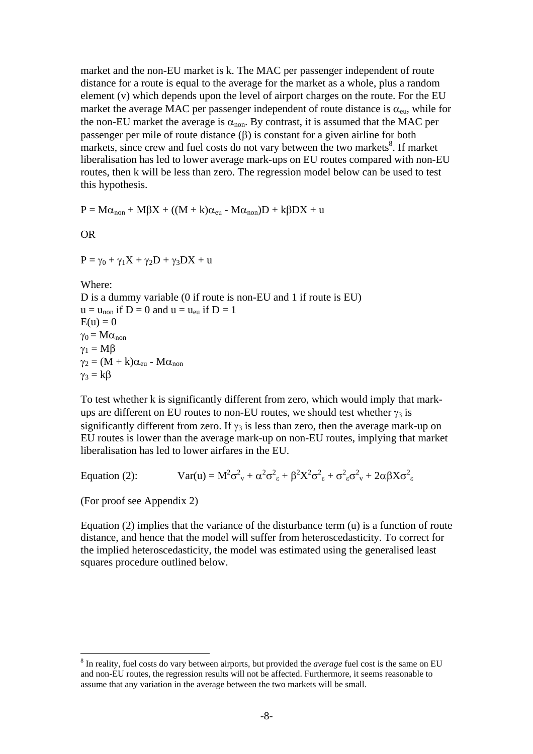market and the non-EU market is k. The MAC per passenger independent of route distance for a route is equal to the average for the market as a whole, plus a random element (v) which depends upon the level of airport charges on the route. For the EU market the average MAC per passenger independent of route distance is  $\alpha_{\rm en}$ , while for the non-EU market the average is  $\alpha_{\text{non}}$ . By contrast, it is assumed that the MAC per passenger per mile of route distance (β) is constant for a given airline for both markets, since crew and fuel costs do not vary between the two markets $\frac{8}{3}$ . If market liberalisation has led to lower average mark-ups on EU routes compared with non-EU routes, then k will be less than zero. The regression model below can be used to test this hypothesis.

 $P = M\alpha_{\text{non}} + M\beta X + ((M + k)\alpha_{\text{eu}} - M\alpha_{\text{non}})D + k\beta DX + u$ 

OR

 $P = \gamma_0 + \gamma_1 X + \gamma_2 D + \gamma_3 DX + u$ 

Where: D is a dummy variable (0 if route is non-EU and 1 if route is EU)  $u = u_{\text{non}}$  if  $D = 0$  and  $u = u_{\text{en}}$  if  $D = 1$  $E(u) = 0$  $\gamma_0 = M\alpha_{\text{non}}$  $\gamma_1 = M\beta$  $\gamma_2 = (M + k)\alpha_{\rm eu}$  -  $M\alpha_{\rm non}$  $\gamma_3 = k\beta$ 

To test whether k is significantly different from zero, which would imply that markups are different on EU routes to non-EU routes, we should test whether  $\gamma_3$  is significantly different from zero. If  $\gamma_3$  is less than zero, then the average mark-up on EU routes is lower than the average mark-up on non-EU routes, implying that market liberalisation has led to lower airfares in the EU.

Equation (2):  $\text{Var}(\mathbf{u}) = \mathbf{M}^2 \sigma_v^2 + \alpha^2 \sigma_{\epsilon}^2 + \beta^2 \mathbf{X}^2 \sigma_{\epsilon}^2 + \sigma_{\epsilon}^2 \sigma_v^2 + 2\alpha \beta \mathbf{X} \sigma_{\epsilon}^2$ 

(For proof see Appendix 2)

 $\overline{a}$ 

Equation (2) implies that the variance of the disturbance term (u) is a function of route distance, and hence that the model will suffer from heteroscedasticity. To correct for the implied heteroscedasticity, the model was estimated using the generalised least squares procedure outlined below.

<span id="page-7-0"></span><sup>8</sup> In reality, fuel costs do vary between airports, but provided the *average* fuel cost is the same on EU and non-EU routes, the regression results will not be affected. Furthermore, it seems reasonable to assume that any variation in the average between the two markets will be small.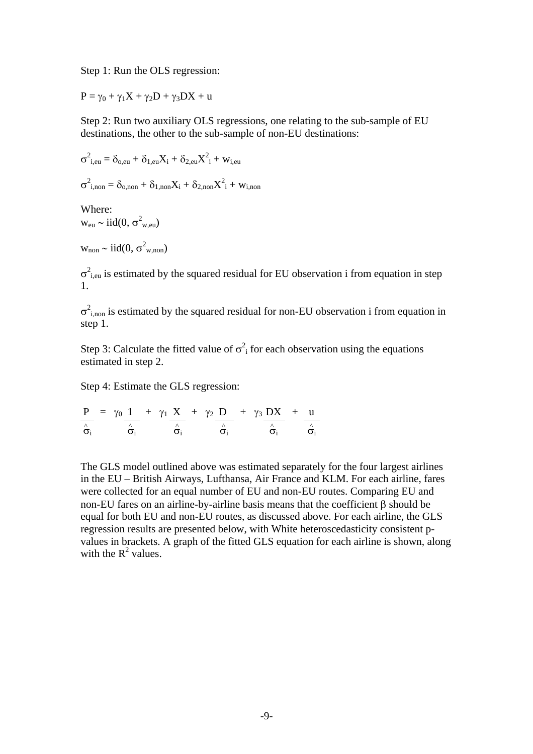Step 1: Run the OLS regression:

 $P = \gamma_0 + \gamma_1 X + \gamma_2 D + \gamma_3 DX + u$ 

Step 2: Run two auxiliary OLS regressions, one relating to the sub-sample of EU destinations, the other to the sub-sample of non-EU destinations:

$$
\sigma_{i,eu}^2 = \delta_{o,eu} + \delta_{1,eu} X_i + \delta_{2,eu} X_i^2 + w_{i,eu}
$$

 $\sigma^2_{\text{i},\text{non}} = \delta_{\text{o},\text{non}} + \delta_{1,\text{non}} X_\text{i} + \delta_{2,\text{non}} X_\text{i}^2 + w_\text{i,non}$ 

Where:  $w_{\text{eu}} \sim \text{iid}(0, \sigma^2_{w,\text{eu}})$ 

 $w_{\text{non}} \sim \text{iid}(0, \sigma^2_{w, \text{non}})$ 

 $\sigma^2$ <sub>i,eu</sub> is estimated by the squared residual for EU observation i from equation in step 1.

 $\sigma^2_{i,non}$  is estimated by the squared residual for non-EU observation i from equation in step 1.

Step 3: Calculate the fitted value of  $\sigma^2$  for each observation using the equations estimated in step 2.

Step 4: Estimate the GLS regression:

$$
\frac{P}{\hat{\sigma}_i} = \frac{\gamma_0}{\hat{\sigma}_i} \frac{1}{\hat{\sigma}_i} + \frac{\gamma_1}{\hat{\sigma}_i} \frac{X}{\hat{\sigma}_i} + \frac{\gamma_2}{\hat{\sigma}_i} \frac{D}{\hat{\sigma}_i} + \frac{\gamma_3}{\hat{\sigma}_i} \frac{DX}{\hat{\sigma}_i} + \frac{u}{\hat{\sigma}_i}
$$

The GLS model outlined above was estimated separately for the four largest airlines in the EU – British Airways, Lufthansa, Air France and KLM. For each airline, fares were collected for an equal number of EU and non-EU routes. Comparing EU and non-EU fares on an airline-by-airline basis means that the coefficient β should be equal for both EU and non-EU routes, as discussed above. For each airline, the GLS regression results are presented below, with White heteroscedasticity consistent pvalues in brackets. A graph of the fitted GLS equation for each airline is shown, along with the  $R^2$  values.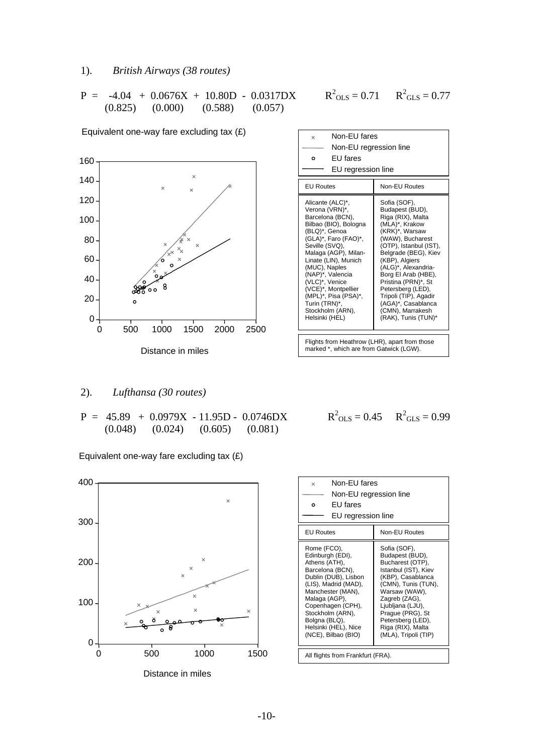### 1). *British Airways (38 routes)*

$$
P = -4.04 + 0.0676X + 10.80D - 0.0317DX
$$
  
(0.825) (0.000) (0.588) (0.057)

| Equivalent one-way fare excluding tax $(E)$          |      | Non-EU fares<br>$\times$                                                               |                                                                 |
|------------------------------------------------------|------|----------------------------------------------------------------------------------------|-----------------------------------------------------------------|
| 60                                                   |      | Non-EU regression line<br>EU fares<br>$\circ$                                          |                                                                 |
| $\times$                                             |      | EU regression line                                                                     |                                                                 |
| $40 -$<br>$\times$<br>$\overline{\mathbf{x}}$        |      | <b>EU Routes</b>                                                                       | Non-EU Routes                                                   |
| $20 -$                                               |      | Alicante (ALC)*,<br>Verona (VRN)*,                                                     | Sofia (SOF),<br>Budapest (BUD),                                 |
| $00 -$                                               |      | Barcelona (BCN),<br>Bilbao (BIO), Bologna                                              | Riga (RIX), Malta<br>(MLA)*, Krakow                             |
| $80 -$<br>×<br>$\times$                              |      | (BLQ)*, Genoa<br>(GLA)*, Faro (FAO)*,<br>Seville (SVQ),                                | (KRK)*, Warsaw<br>(WAW), Bucharest<br>(OTP), Istanbul (IST),    |
| $\times_{\!\!\!\!\times}$<br>$60 -$<br>ó.<br>$\circ$ |      | Malaga (AGP), Milan-<br>Linate (LIN), Munich<br>(MUC), Naples                          | Belgrade (BEG), Kiev<br>(KBP), Algiers<br>(ALG)*, Alexandria-   |
| ∛م∘ّ<br>$40 -$<br>$\circ$                            |      | (NAP)*, Valencia<br>(VLC)*, Venice<br>(VCE)*, Montpellier                              | Borg El Arab (HBE),<br>Pristina (PRN)*, St<br>Petersberg (LED), |
| $20 -$<br>o                                          |      | (MPL)*, Pisa (PSA)*,<br>Turin (TRN)*,                                                  | Tripoli (TIP), Agadir<br>(AGA)*, Casablanca                     |
| 0                                                    |      | Stockholm (ARN),<br>Helsinki (HEL)                                                     | (CMN), Marrakesh<br>(RAK), Tunis (TUN)*                         |
| 500<br>1000<br>1500<br>2000<br>0                     | 2500 |                                                                                        |                                                                 |
| مالحد مال من منطقات                                  |      | Flights from Heathrow (LHR), apart from those<br>marked * which are from Gatwick (LGW) |                                                                 |

# 2). *Lufthansa (30 routes)*

 $P = 45.89 + 0.0979X - 11.95D - 0.0746DX   
\n(0.048) (0.024) (0.605) (0.081)$  $(0.024)$   $(0.605)$   $(0.081)$ 

Equivalent one-way fare excluding tax (£)



| Non-EU fares<br>$\times$<br>Non-EU regression line<br>FU fares<br>٥<br>EU regression line                                                                                                                                                                                                                                                                                                                                                                                                                                                  |  |  |
|--------------------------------------------------------------------------------------------------------------------------------------------------------------------------------------------------------------------------------------------------------------------------------------------------------------------------------------------------------------------------------------------------------------------------------------------------------------------------------------------------------------------------------------------|--|--|
| <b>EU Routes</b><br>Non-EU Routes                                                                                                                                                                                                                                                                                                                                                                                                                                                                                                          |  |  |
| Rome (FCO),<br>Sofia (SOF),<br>Budapest (BUD),<br>Edinburgh (EDI),<br>Athens (ATH),<br>Bucharest (OTP),<br>Barcelona (BCN),<br>Istanbul (IST), Kiev<br>Dublin (DUB), Lisbon<br>(KBP), Casablanca<br>(CMN), Tunis (TUN),<br>(LIS), Madrid (MAD),<br>Manchester (MAN),<br>Warsaw (WAW),<br>Zagreb (ZAG),<br>Malaga (AGP),<br>Copenhagen (CPH),<br>Ljubljana (LJU),<br>Stockholm (ARN),<br>Prague (PRG), St<br>Petersberg (LED),<br>Bolgna (BLQ),<br>Helsinki (HEL), Nice<br>Riga (RIX), Malta<br>(NCE), Bilbao (BIO)<br>(MLA), Tripoli (TIP) |  |  |
| All flights from Frankfurt (FRA).                                                                                                                                                                                                                                                                                                                                                                                                                                                                                                          |  |  |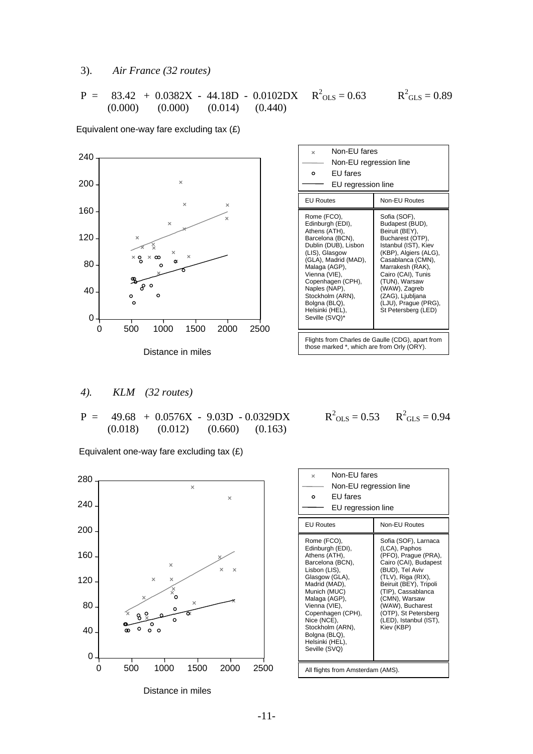### 3). *Air France (32 routes)*

$$
P = 83.42 + 0.0382X - 44.18D - 0.0102DX \t R2OLS = 0.63 \t R2GLS = 0.89(0.000) (0.000) (0.014) (0.440)
$$

Equivalent one-way fare excluding tax (£)



| Non-EU fares<br>$\times$<br>Non-EU regression line<br>FU fares<br>Ο<br>EU regression line                                                                                                                                                                                                |                                                                                                                                                                                                                                                                                            |  |
|------------------------------------------------------------------------------------------------------------------------------------------------------------------------------------------------------------------------------------------------------------------------------------------|--------------------------------------------------------------------------------------------------------------------------------------------------------------------------------------------------------------------------------------------------------------------------------------------|--|
| Non-EU Routes<br><b>EU Routes</b>                                                                                                                                                                                                                                                        |                                                                                                                                                                                                                                                                                            |  |
| Rome (FCO),<br>Edinburgh (EDI),<br>Athens (ATH),<br>Barcelona (BCN),<br>Dublin (DUB), Lisbon<br>(LIS), Glasgow<br>(GLA), Madrid (MAD),<br>Malaga (AGP),<br>Vienna (VIE),<br>Copenhagen (CPH),<br>Naples (NAP),<br>Stockholm (ARN),<br>Bolgna (BLQ),<br>Helsinki (HEL),<br>Seville (SVQ)* | Sofia (SOF),<br>Budapest (BUD),<br>Beiruit (BEY),<br>Bucharest (OTP),<br>Istanbul (IST), Kiev<br>(KBP), Algiers (ALG),<br>Casablanca (CMN),<br>Marrakesh (RAK),<br>Cairo (CAI), Tunis<br>(TUN), Warsaw<br>(WAW), Zagreb<br>(ZAG), Ljubljana<br>(LJU), Prague (PRG),<br>St Petersberg (LED) |  |
| Flights from Charles de Gaulle (CDG), apart from<br>those marked $*$ which are from Orly (ODV)                                                                                                                                                                                           |                                                                                                                                                                                                                                                                                            |  |

#### *4). KLM (32 routes)*

 $P = 49.68 + 0.0576X - 9.03D - 0.0329DX$ (0.018) (0.012) (0.660) (0.163)

Equivalent one-way fare excluding tax (£)



$$
R^2_{OLS} = 0.53
$$
  $R^2_{GLS} = 0.94$ 

| Non-FU fares<br>×<br>Non-EU regression line<br>FU fares<br>O<br>EU regression line                                                                                                                                                                                                      |                                                                                                                                                                                                                                                                                      |  |
|-----------------------------------------------------------------------------------------------------------------------------------------------------------------------------------------------------------------------------------------------------------------------------------------|--------------------------------------------------------------------------------------------------------------------------------------------------------------------------------------------------------------------------------------------------------------------------------------|--|
| <b>EU Routes</b>                                                                                                                                                                                                                                                                        | Non-EU Routes                                                                                                                                                                                                                                                                        |  |
| Rome (FCO),<br>Edinburgh (EDI),<br>Athens (ATH),<br>Barcelona (BCN),<br>Lisbon (LIS),<br>Glasgow (GLA),<br>Madrid (MAD),<br>Munich (MUC)<br>Malaga (AGP),<br>Vienna (VIE),<br>Copenhagen (CPH),<br>Nice (NCE),<br>Stockholm (ARN),<br>Bolgna (BLQ),<br>Helsinki (HEL),<br>Seville (SVQ) | Sofia (SOF), Larnaca<br>(LCA), Paphos<br>(PFO), Prague (PRA),<br>Cairo (CAI), Budapest<br>(BUD), Tel Aviv<br>(TLV), Riga (RIX),<br>Beiruit (BEY), Tripoli<br>(TIP), Cassablanca<br>(CMN), Warsaw<br>(WAW), Bucharest<br>(OTP), St Petersberg<br>(LED), Istanbul (IST),<br>Kiev (KBP) |  |
| All flights from Amsterdam (AMS).                                                                                                                                                                                                                                                       |                                                                                                                                                                                                                                                                                      |  |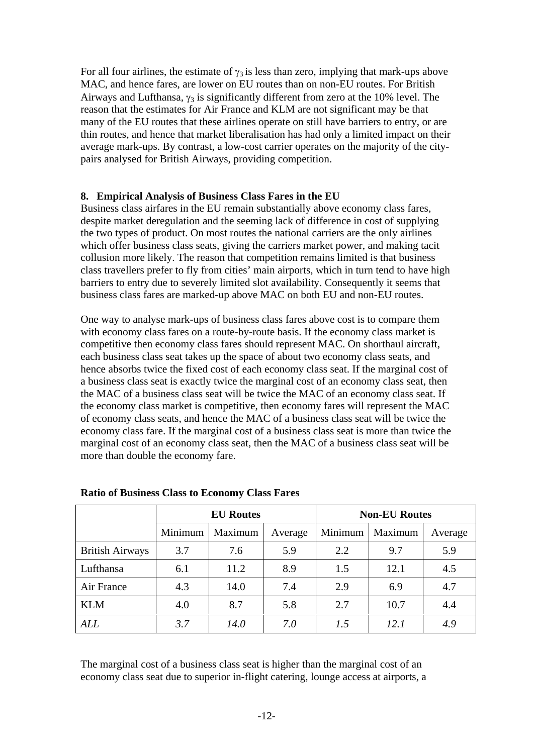For all four airlines, the estimate of  $\gamma_3$  is less than zero, implying that mark-ups above MAC, and hence fares, are lower on EU routes than on non-EU routes. For British Airways and Lufthansa,  $\gamma_3$  is significantly different from zero at the 10% level. The reason that the estimates for Air France and KLM are not significant may be that many of the EU routes that these airlines operate on still have barriers to entry, or are thin routes, and hence that market liberalisation has had only a limited impact on their average mark-ups. By contrast, a low-cost carrier operates on the majority of the citypairs analysed for British Airways, providing competition.

### **8. Empirical Analysis of Business Class Fares in the EU**

Business class airfares in the EU remain substantially above economy class fares, despite market deregulation and the seeming lack of difference in cost of supplying the two types of product. On most routes the national carriers are the only airlines which offer business class seats, giving the carriers market power, and making tacit collusion more likely. The reason that competition remains limited is that business class travellers prefer to fly from cities' main airports, which in turn tend to have high barriers to entry due to severely limited slot availability. Consequently it seems that business class fares are marked-up above MAC on both EU and non-EU routes.

One way to analyse mark-ups of business class fares above cost is to compare them with economy class fares on a route-by-route basis. If the economy class market is competitive then economy class fares should represent MAC. On shorthaul aircraft, each business class seat takes up the space of about two economy class seats, and hence absorbs twice the fixed cost of each economy class seat. If the marginal cost of a business class seat is exactly twice the marginal cost of an economy class seat, then the MAC of a business class seat will be twice the MAC of an economy class seat. If the economy class market is competitive, then economy fares will represent the MAC of economy class seats, and hence the MAC of a business class seat will be twice the economy class fare. If the marginal cost of a business class seat is more than twice the marginal cost of an economy class seat, then the MAC of a business class seat will be more than double the economy fare.

|                        | <b>EU</b> Routes |             |         | <b>Non-EU Routes</b> |         |         |
|------------------------|------------------|-------------|---------|----------------------|---------|---------|
|                        | Minimum          | Maximum     | Average | Minimum              | Maximum | Average |
| <b>British Airways</b> | 3.7              | 7.6         | 5.9     | 2.2                  | 9.7     | 5.9     |
| Lufthansa              | 6.1              | 11.2        | 8.9     | 1.5                  | 12.1    | 4.5     |
| Air France             | 4.3              | 14.0        | 7.4     | 2.9                  | 6.9     | 4.7     |
| <b>KLM</b>             | 4.0              | 8.7         | 5.8     | 2.7                  | 10.7    | 4.4     |
| <b>ALL</b>             | 3.7              | <i>14.0</i> | 7.0     | 1.5                  | 12.1    | 4.9     |

#### **Ratio of Business Class to Economy Class Fares**

The marginal cost of a business class seat is higher than the marginal cost of an economy class seat due to superior in-flight catering, lounge access at airports, a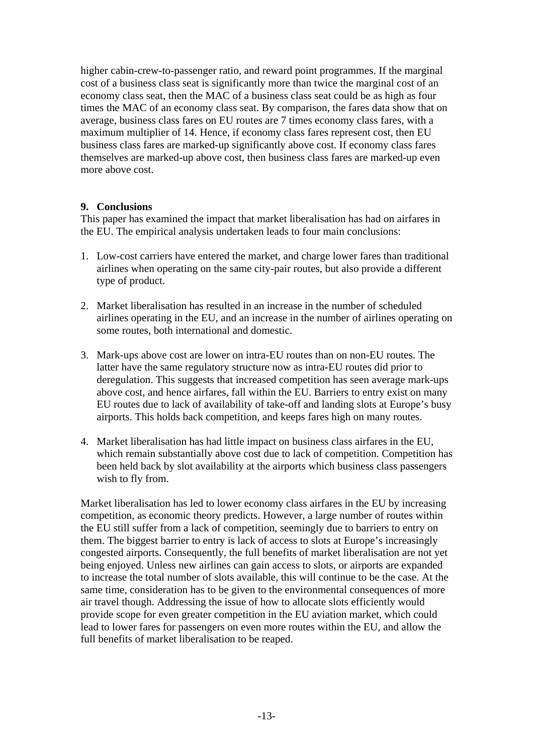higher cabin-crew-to-passenger ratio, and reward point programmes. If the marginal cost of a business class seat is significantly more than twice the marginal cost of an economy class seat, then the MAC of a business class seat could be as high as four times the MAC of an economy class seat. By comparison, the fares data show that on average, business class fares on EU routes are 7 times economy class fares, with a maximum multiplier of 14. Hence, if economy class fares represent cost, then EU business class fares are marked-up significantly above cost. If economy class fares themselves are marked-up above cost, then business class fares are marked-up even more above cost.

## **9. Conclusions**

This paper has examined the impact that market liberalisation has had on airfares in the EU. The empirical analysis undertaken leads to four main conclusions:

- 1. Low-cost carriers have entered the market, and charge lower fares than traditional airlines when operating on the same city-pair routes, but also provide a different type of product.
- 2. Market liberalisation has resulted in an increase in the number of scheduled airlines operating in the EU, and an increase in the number of airlines operating on some routes, both international and domestic.
- 3. Mark-ups above cost are lower on intra-EU routes than on non-EU routes. The latter have the same regulatory structure now as intra-EU routes did prior to deregulation. This suggests that increased competition has seen average mark-ups above cost, and hence airfares, fall within the EU. Barriers to entry exist on many EU routes due to lack of availability of take-off and landing slots at Europe's busy airports. This holds back competition, and keeps fares high on many routes.
- 4. Market liberalisation has had little impact on business class airfares in the EU, which remain substantially above cost due to lack of competition. Competition has been held back by slot availability at the airports which business class passengers wish to fly from.

Market liberalisation has led to lower economy class airfares in the EU by increasing competition, as economic theory predicts. However, a large number of routes within the EU still suffer from a lack of competition, seemingly due to barriers to entry on them. The biggest barrier to entry is lack of access to slots at Europe's increasingly congested airports. Consequently, the full benefits of market liberalisation are not yet being enjoyed. Unless new airlines can gain access to slots, or airports are expanded to increase the total number of slots available, this will continue to be the case. At the same time, consideration has to be given to the environmental consequences of more air travel though. Addressing the issue of how to allocate slots efficiently would provide scope for even greater competition in the EU aviation market, which could lead to lower fares for passengers on even more routes within the EU, and allow the full benefits of market liberalisation to be reaped.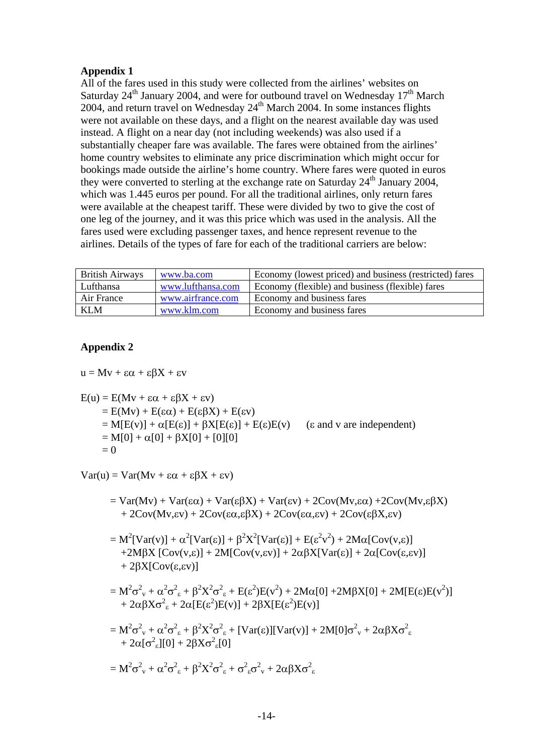## **Appendix 1**

All of the fares used in this study were collected from the airlines' websites on Saturday  $24<sup>th</sup>$  January 2004, and were for outbound travel on Wednesday  $17<sup>th</sup>$  March 2004, and return travel on Wednesday  $24<sup>th</sup>$  March 2004. In some instances flights were not available on these days, and a flight on the nearest available day was used instead. A flight on a near day (not including weekends) was also used if a substantially cheaper fare was available. The fares were obtained from the airlines' home country websites to eliminate any price discrimination which might occur for bookings made outside the airline's home country. Where fares were quoted in euros they were converted to sterling at the exchange rate on Saturday  $24<sup>th</sup>$  January 2004, which was 1.445 euros per pound. For all the traditional airlines, only return fares were available at the cheapest tariff. These were divided by two to give the cost of one leg of the journey, and it was this price which was used in the analysis. All the fares used were excluding passenger taxes, and hence represent revenue to the airlines. Details of the types of fare for each of the traditional carriers are below:

| <b>British Airways</b> | www.ba.com        | Economy (lowest priced) and business (restricted) fares |
|------------------------|-------------------|---------------------------------------------------------|
| Lufthansa              | www.lufthansa.com | Economy (flexible) and business (flexible) fares        |
| Air France             | www.airfrance.com | Economy and business fares                              |
| <b>KLM</b>             | www.klm.com       | Economy and business fares                              |

## **Appendix 2**

 $u = Mv + \epsilon \alpha + \epsilon \beta X + \epsilon v$ 

$$
E(u) = E(Mv + \varepsilon\alpha + \varepsilon\beta X + \varepsilon v)
$$
  
= E(Mv) + E(\varepsilon\alpha) + E(\varepsilon\beta X) + E(\varepsilon v)  
= M[E(v)] + \alpha[E(\varepsilon)] + \beta X[E(\varepsilon)] + E(\varepsilon)E(v) \quad (\varepsilon \text{ and } v \text{ are independent})  
= M[0] + \alpha[0] + \beta X[0] + [0][0]  
= 0

 $Var(u) = Var(Mv + \epsilon \alpha + \epsilon \beta X + \epsilon v)$ 

- $= \text{Var}(Mv) + \text{Var}(\epsilon\alpha) + \text{Var}(\epsilon\beta X) + \text{Var}(\epsilon v) + 2\text{Cov}(Mv, \epsilon\alpha) + 2\text{Cov}(Mv, \epsilon\beta X)$  $+ 2\text{Cov}(\text{Mv}, \text{ev}) + 2\text{Cov}(\varepsilon \alpha, \varepsilon \beta X) + 2\text{Cov}(\varepsilon \alpha, \varepsilon \nu) + 2\text{Cov}(\varepsilon \beta X, \varepsilon \nu)$
- =  $M^2[Var(v)] + \alpha^2[Var(\varepsilon)] + \beta^2 X^2[Var(\varepsilon)] + E(\varepsilon^2 v^2) + 2M\alpha[Cov(v,\varepsilon)]$ +2MβX  $[Cov(v,\varepsilon)]$  + 2M $[Cov(v,\varepsilon v)]$  + 2αβX $[Var(\varepsilon)]$  + 2α $[Cov(\varepsilon,\varepsilon v)]$  $+ 28X$ [Cov(ε,εv)]

$$
= M^2 \sigma_{v}^2 + \alpha^2 \sigma_{\epsilon}^2 + \beta^2 X^2 \sigma_{\epsilon}^2 + E(\epsilon^2)E(v^2) + 2M\alpha[0] + 2M\beta X[0] + 2M[E(\epsilon)E(v^2)]
$$
  
+ 2\alpha\beta X\sigma\_{\epsilon}^2 + 2\alpha[E(\epsilon^2)E(v)] + 2\beta X[E(\epsilon^2)E(v)]

$$
= M^{2} \sigma_{v}^{2} + \alpha^{2} \sigma_{\epsilon}^{2} + \beta^{2} X^{2} \sigma_{\epsilon}^{2} + [Var(\epsilon)][Var(v)] + 2M[0] \sigma_{v}^{2} + 2\alpha\beta X \sigma_{\epsilon}^{2} + 2\alpha[\sigma_{\epsilon}^{2}][0] + 2\beta X \sigma_{\epsilon}^{2}[0]
$$

$$
=M^2\sigma _v^2+\alpha ^2\sigma _\epsilon ^2+\beta ^2X^2\sigma _\epsilon ^2+\sigma _\epsilon ^2\sigma _v^2+2\alpha \beta X\sigma _\epsilon ^2
$$